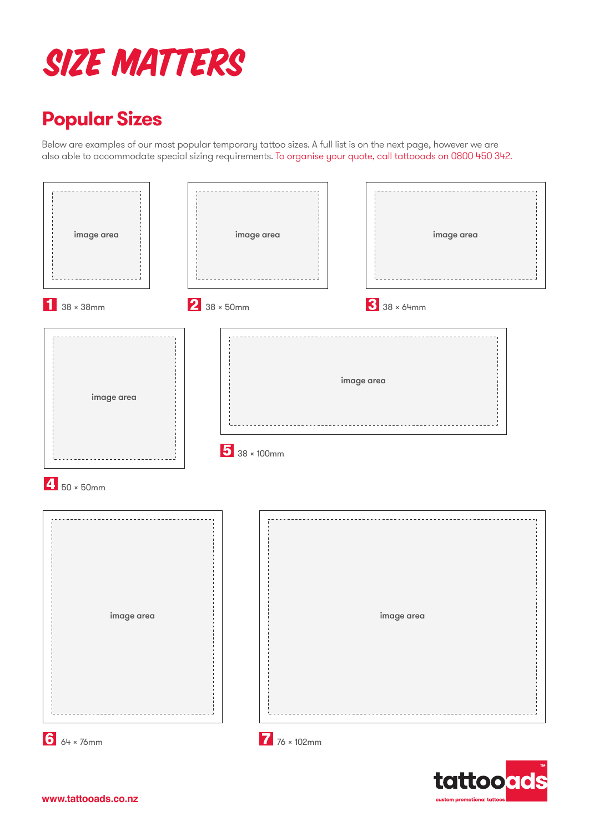## Size Matters

## **Popular Sizes**

Below are examples of our most popular temporary tattoo sizes. A full list is on the next page, however we are also able to accommodate special sizing requirements. To organise your quote, call tattooads on 0800 450 342.

| image area         | image area                                        |             | image area |
|--------------------|---------------------------------------------------|-------------|------------|
| $138 \times 38$ mm | $2$ 38 × 50mm                                     | 3 38 × 64mm |            |
| image area         | image area<br>$\overline{\frac{1}{5}}$ 38 × 100mm |             |            |
| $4$ 50 × 50mm      |                                                   |             |            |
| image area         |                                                   | image area  |            |
| $6$ 64 × 76mm      | $\overline{7}$ 76 × 102mm                         |             |            |